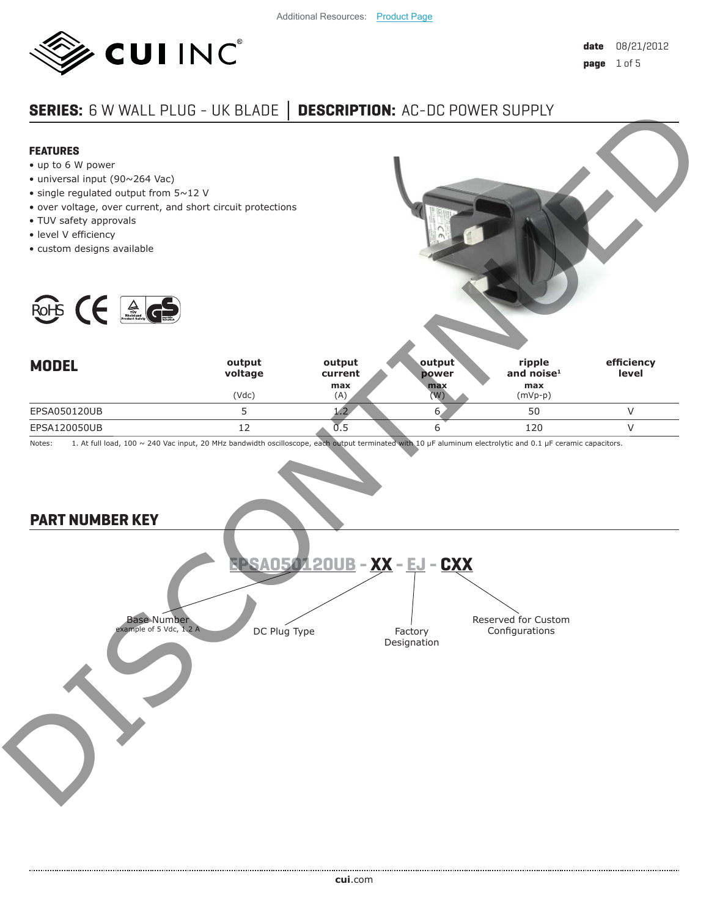

# **SERIES:** 6 W WALL PLUG - UK BLADE **│ DESCRIPTION:** AC-DC POWER SUPPLY



- up to 6 W power
- universal input (90~264 Vac)
- single regulated output from 5~12 V
- over voltage, over current, and short circuit protections
- TUV safety approvals
- level V efficiency
- custom designs available



Notes: 1. At full load, 100 ~ 240 Vac input, 20 MHz bandwidth oscilloscope, each output terminated with 10 μF aluminum electrolytic and 0.1 μF ceramic capacitors.

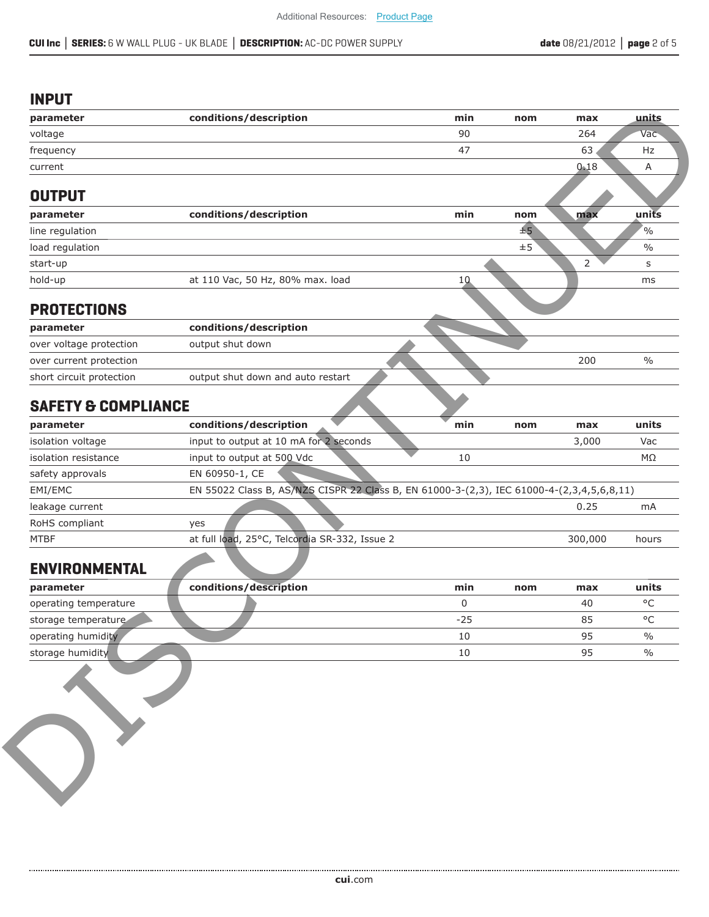#### **INPUT**

| parameter                              | conditions/description                                                                    |              |         |                |                       |
|----------------------------------------|-------------------------------------------------------------------------------------------|--------------|---------|----------------|-----------------------|
|                                        |                                                                                           | min          | nom     | max            | units                 |
| voltage                                |                                                                                           | 90           |         | 264            | Vac                   |
| frequency                              |                                                                                           | 47           |         | 63             | Hz                    |
| current                                |                                                                                           |              |         | 0.18           | Α                     |
|                                        |                                                                                           |              |         |                |                       |
| <b>OUTPUT</b>                          |                                                                                           |              |         |                |                       |
| parameter                              | conditions/description                                                                    | min          | nom     | max            | units                 |
| line regulation                        |                                                                                           |              | ±5      |                | $\frac{1}{2}$         |
| load regulation                        |                                                                                           |              | $\pm 5$ |                | $\frac{0}{0}$         |
| start-up                               |                                                                                           |              |         | $\overline{2}$ | s                     |
| hold-up                                | at 110 Vac, 50 Hz, 80% max. load                                                          | 10           |         |                | ms                    |
|                                        |                                                                                           |              |         |                |                       |
| <b>PROTECTIONS</b>                     |                                                                                           |              |         |                |                       |
| parameter                              | conditions/description                                                                    |              |         |                |                       |
| over voltage protection                | output shut down                                                                          |              |         |                |                       |
| over current protection                |                                                                                           |              |         | 200            | $\frac{0}{0}$         |
| short circuit protection               | output shut down and auto restart                                                         |              |         |                |                       |
|                                        |                                                                                           |              |         |                |                       |
| <b>SAFETY &amp; COMPLIANCE</b>         |                                                                                           |              |         |                |                       |
| parameter                              | conditions/description                                                                    | min          | nom     | max            | units                 |
|                                        |                                                                                           |              |         |                |                       |
| isolation voltage                      | input to output at 10 mA for 2 seconds                                                    |              |         | 3,000          | Vac                   |
| isolation resistance                   | input to output at 500 Vdc                                                                | 10           |         |                | МΩ                    |
| safety approvals                       | EN 60950-1, CE                                                                            |              |         |                |                       |
| EMI/EMC                                | EN 55022 Class B, AS/NZS CISPR 22 Class B, EN 61000-3-(2,3), IEC 61000-4-(2,3,4,5,6,8,11) |              |         |                |                       |
| leakage current                        |                                                                                           |              |         | 0.25           | mA                    |
| RoHS compliant                         | yes                                                                                       |              |         |                |                       |
| <b>MTBF</b>                            | at full load, 25°C, Telcordia SR-332, Issue 2                                             |              |         | 300,000        | hours                 |
|                                        |                                                                                           |              |         |                |                       |
| <b>ENVIRONMENTAL</b>                   |                                                                                           |              |         |                |                       |
| parameter                              | conditions/description                                                                    | min          | nom     | max            | units                 |
| operating temperature                  |                                                                                           | 0            |         | 40             | $^{\circ}$ C          |
| storage temperature                    |                                                                                           | $-25$        |         | 85             | $\circ$ C             |
| operating humidity<br>storage humidity |                                                                                           | 10<br>$10\,$ |         | 95<br>95       | $\frac{0}{0}$<br>$\%$ |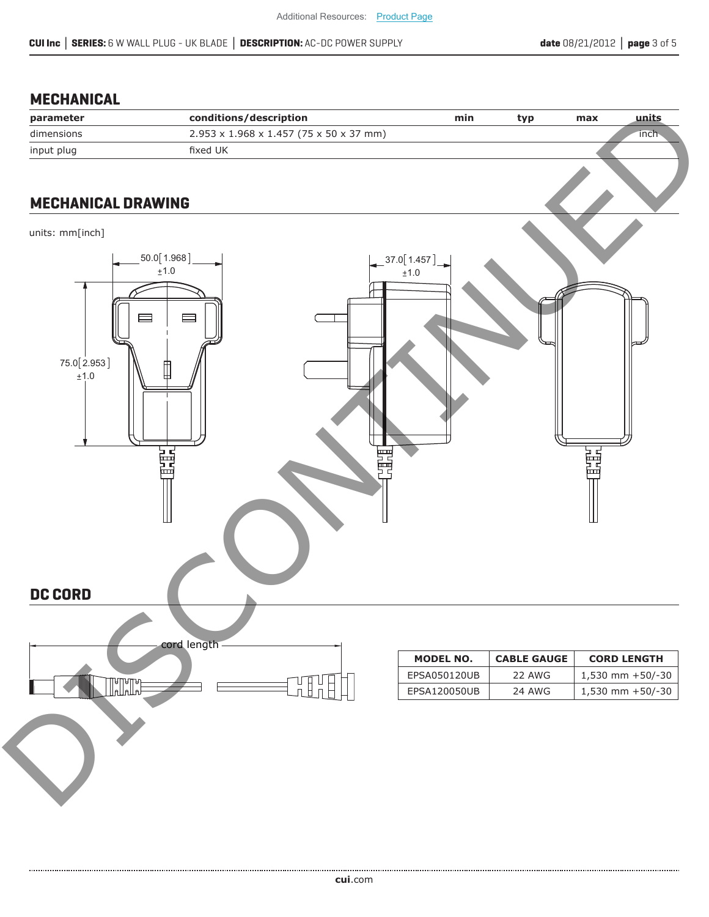# **MECHANICAL**

| parameter  | conditions/description                              | min | typ | max | units |
|------------|-----------------------------------------------------|-----|-----|-----|-------|
| dimensions | $2.953 \times 1.968 \times 1.457$ (75 x 50 x 37 mm) |     |     |     | inch  |
| input plug | fixed UK                                            |     |     |     |       |
|            |                                                     |     |     |     |       |

# **MECHANICAL DRAWING**

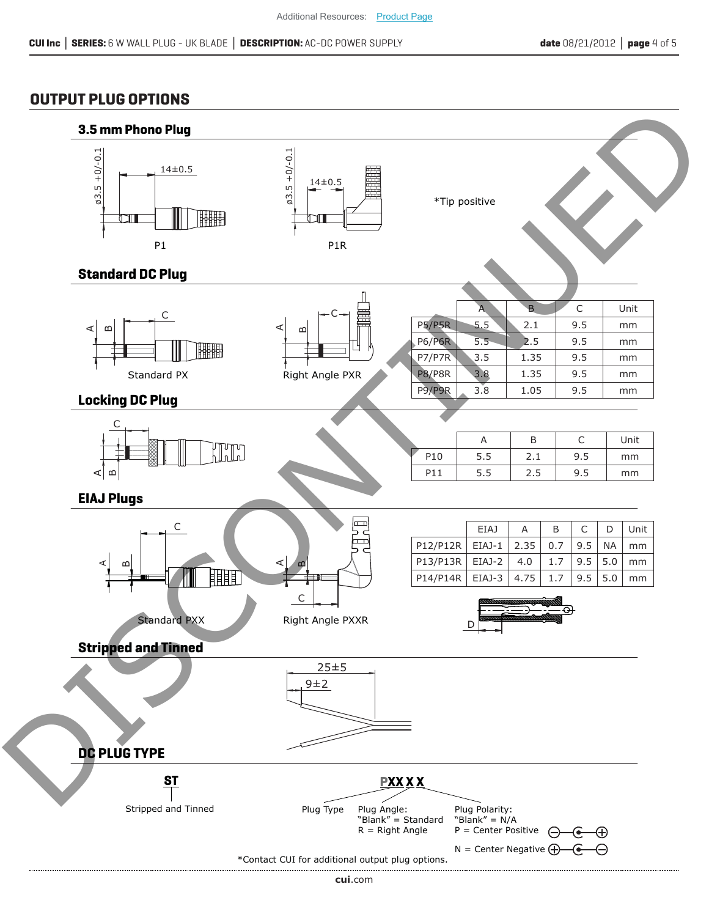# **OUTPUT PLUG OPTIONS**